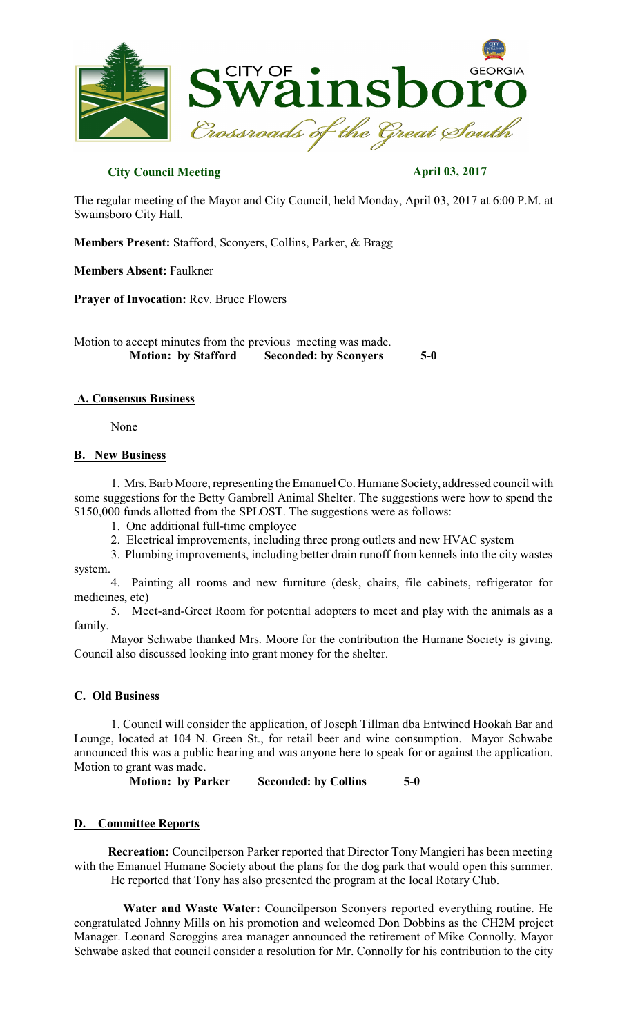

## **City Council Meeting April 03, 2017**

The regular meeting of the Mayor and City Council, held Monday, April 03, 2017 at 6:00 P.M. at Swainsboro City Hall.

**Members Present:** Stafford, Sconyers, Collins, Parker, & Bragg

**Members Absent:** Faulkner

**Prayer of Invocation:** Rev. Bruce Flowers

Motion to accept minutes from the previous meeting was made.  **Motion: by Stafford Seconded: by Sconyers 5-0** 

# **A. Consensus Business**

None

### **B. New Business**

1. Mrs. Barb Moore, representing the Emanuel Co. Humane Society, addressed council with some suggestions for the Betty Gambrell Animal Shelter. The suggestions were how to spend the \$150,000 funds allotted from the SPLOST. The suggestions were as follows:

1. One additional full-time employee

2. Electrical improvements, including three prong outlets and new HVAC system

3. Plumbing improvements, including better drain runoff from kennels into the city wastes system.

4. Painting all rooms and new furniture (desk, chairs, file cabinets, refrigerator for medicines, etc)

5. Meet-and-Greet Room for potential adopters to meet and play with the animals as a family.

Mayor Schwabe thanked Mrs. Moore for the contribution the Humane Society is giving. Council also discussed looking into grant money for the shelter.

### **C. Old Business**

1. Council will consider the application, of Joseph Tillman dba Entwined Hookah Bar and Lounge, located at 104 N. Green St., for retail beer and wine consumption. Mayor Schwabe announced this was a public hearing and was anyone here to speak for or against the application. Motion to grant was made.<br>**Motion:** by Parker

**Seconded: by Collins 5-0** 

### **D. Committee Reports**

**Recreation:** Councilperson Parker reported that Director Tony Mangieri has been meeting with the Emanuel Humane Society about the plans for the dog park that would open this summer. He reported that Tony has also presented the program at the local Rotary Club.

**Water and Waste Water:** Councilperson Sconyers reported everything routine. He congratulated Johnny Mills on his promotion and welcomed Don Dobbins as the CH2M project Manager. Leonard Scroggins area manager announced the retirement of Mike Connolly. Mayor Schwabe asked that council consider a resolution for Mr. Connolly for his contribution to the city